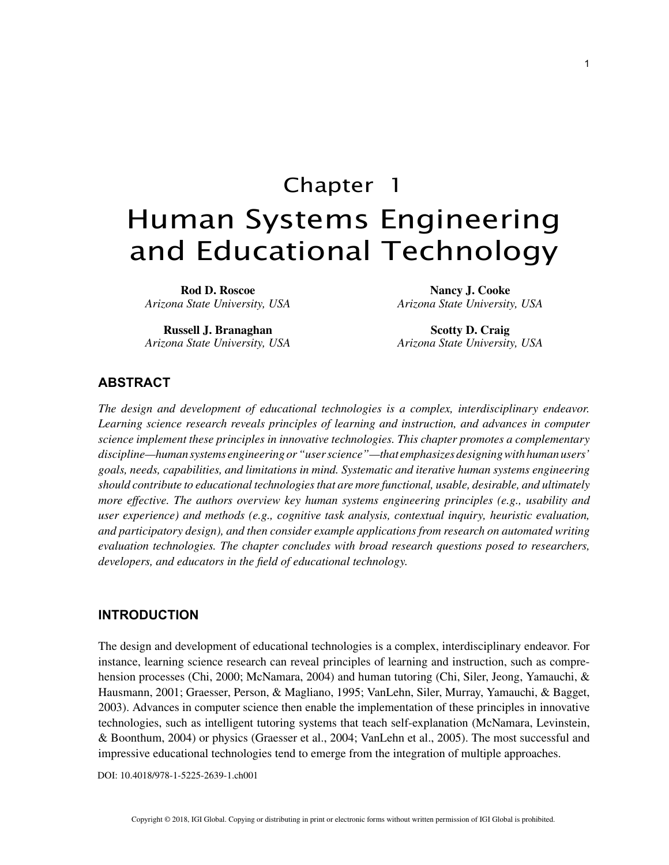# Chapter 1 Human Systems Engineering and Educational Technology

**Rod D. Roscoe** *Arizona State University, USA*

**Russell J. Branaghan** *Arizona State University, USA*

**Nancy J. Cooke** *Arizona State University, USA*

**Scotty D. Craig** *Arizona State University, USA*

## **ABSTRACT**

*The design and development of educational technologies is a complex, interdisciplinary endeavor. Learning science research reveals principles of learning and instruction, and advances in computer science implement these principles in innovative technologies. This chapter promotes a complementary discipline—human systems engineering or "user science"—that emphasizes designing with human users' goals, needs, capabilities, and limitations in mind. Systematic and iterative human systems engineering should contribute to educational technologies that are more functional, usable, desirable, and ultimately more effective. The authors overview key human systems engineering principles (e.g., usability and user experience) and methods (e.g., cognitive task analysis, contextual inquiry, heuristic evaluation, and participatory design), and then consider example applications from research on automated writing evaluation technologies. The chapter concludes with broad research questions posed to researchers, developers, and educators in the field of educational technology.*

## **INTRODUCTION**

The design and development of educational technologies is a complex, interdisciplinary endeavor. For instance, learning science research can reveal principles of learning and instruction, such as comprehension processes (Chi, 2000; McNamara, 2004) and human tutoring (Chi, Siler, Jeong, Yamauchi, & Hausmann, 2001; Graesser, Person, & Magliano, 1995; VanLehn, Siler, Murray, Yamauchi, & Bagget, 2003). Advances in computer science then enable the implementation of these principles in innovative technologies, such as intelligent tutoring systems that teach self-explanation (McNamara, Levinstein, & Boonthum, 2004) or physics (Graesser et al., 2004; VanLehn et al., 2005). The most successful and impressive educational technologies tend to emerge from the integration of multiple approaches.

DOI: 10.4018/978-1-5225-2639-1.ch001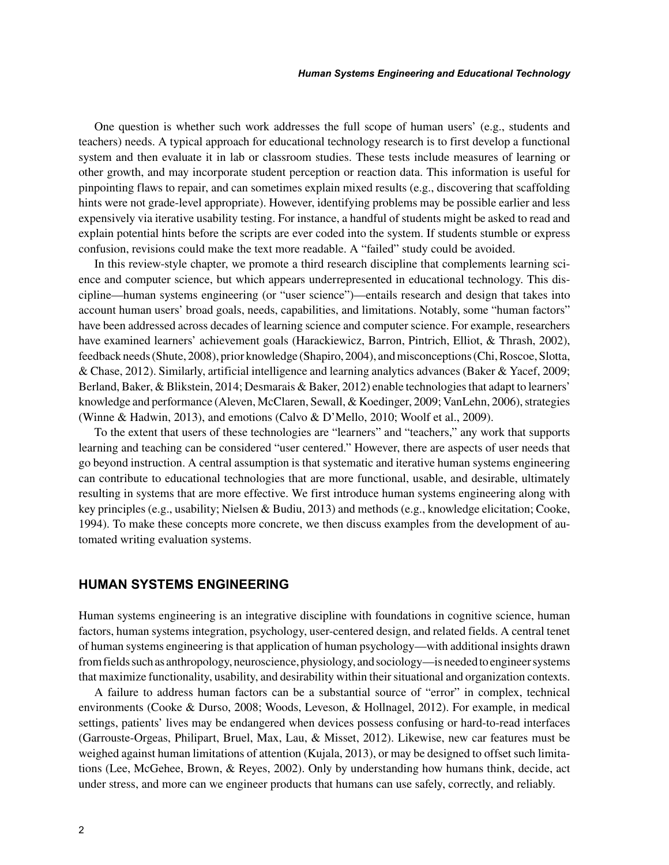One question is whether such work addresses the full scope of human users' (e.g., students and teachers) needs. A typical approach for educational technology research is to first develop a functional system and then evaluate it in lab or classroom studies. These tests include measures of learning or other growth, and may incorporate student perception or reaction data. This information is useful for pinpointing flaws to repair, and can sometimes explain mixed results (e.g., discovering that scaffolding hints were not grade-level appropriate). However, identifying problems may be possible earlier and less expensively via iterative usability testing. For instance, a handful of students might be asked to read and explain potential hints before the scripts are ever coded into the system. If students stumble or express confusion, revisions could make the text more readable. A "failed" study could be avoided.

In this review-style chapter, we promote a third research discipline that complements learning science and computer science, but which appears underrepresented in educational technology. This discipline—human systems engineering (or "user science")—entails research and design that takes into account human users' broad goals, needs, capabilities, and limitations. Notably, some "human factors" have been addressed across decades of learning science and computer science. For example, researchers have examined learners' achievement goals (Harackiewicz, Barron, Pintrich, Elliot, & Thrash, 2002), feedback needs (Shute, 2008), prior knowledge (Shapiro, 2004), and misconceptions (Chi, Roscoe, Slotta, & Chase, 2012). Similarly, artificial intelligence and learning analytics advances (Baker & Yacef, 2009; Berland, Baker, & Blikstein, 2014; Desmarais & Baker, 2012) enable technologies that adapt to learners' knowledge and performance (Aleven, McClaren, Sewall, & Koedinger, 2009; VanLehn, 2006), strategies (Winne & Hadwin, 2013), and emotions (Calvo & D'Mello, 2010; Woolf et al., 2009).

To the extent that users of these technologies are "learners" and "teachers," any work that supports learning and teaching can be considered "user centered." However, there are aspects of user needs that go beyond instruction. A central assumption is that systematic and iterative human systems engineering can contribute to educational technologies that are more functional, usable, and desirable, ultimately resulting in systems that are more effective. We first introduce human systems engineering along with key principles (e.g., usability; Nielsen & Budiu, 2013) and methods (e.g., knowledge elicitation; Cooke, 1994). To make these concepts more concrete, we then discuss examples from the development of automated writing evaluation systems.

# **HUMAN SYSTEMS ENGINEERING**

Human systems engineering is an integrative discipline with foundations in cognitive science, human factors, human systems integration, psychology, user-centered design, and related fields. A central tenet of human systems engineering is that application of human psychology—with additional insights drawn from fields such as anthropology, neuroscience, physiology, and sociology—is needed to engineer systems that maximize functionality, usability, and desirability within their situational and organization contexts.

A failure to address human factors can be a substantial source of "error" in complex, technical environments (Cooke & Durso, 2008; Woods, Leveson, & Hollnagel, 2012). For example, in medical settings, patients' lives may be endangered when devices possess confusing or hard-to-read interfaces (Garrouste-Orgeas, Philipart, Bruel, Max, Lau, & Misset, 2012). Likewise, new car features must be weighed against human limitations of attention (Kujala, 2013), or may be designed to offset such limitations (Lee, McGehee, Brown, & Reyes, 2002). Only by understanding how humans think, decide, act under stress, and more can we engineer products that humans can use safely, correctly, and reliably.